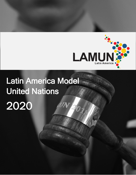

# Latin America Model United Nations 2020

0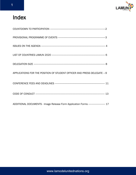

## Index

| APPLICATIONS FOR THE POSITION OF STUDENT OFFICER AND PRESS DELEGATE --- 9              |  |
|----------------------------------------------------------------------------------------|--|
|                                                                                        |  |
|                                                                                        |  |
| ADDITIONAL DOCUMENTS - Image Release Form Application Forms ----------------------- 17 |  |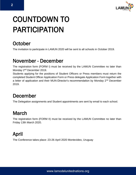

## COUNTDOWN TO PARTICIPATION

## **October**

The invitation to participate in LAMUN 2020 will be sent to all schools in October 2019.

### November - December

The registration form (FORM I) must be received by the LAMUN Committee no later than Monday 2<sup>nd</sup> December 2019.

Students applying for the positions of Student Officers or Press members must return the completed Student Officer Application Form or Press delegate Application Form together with a letter of application and their MUN-Director's recommendation by Monday 2<sup>nd</sup> December 2019.

### December

The Delegation assignments and Student appointments are sent by email to each school.

## March

The registration form (FORM II) must be received by the LAMUN Committee no later than Friday 13th March 2020.

## April

The Conference takes place: 23-26 April 2020 Montevideo, Uruguay

www.lamodelunitednations.org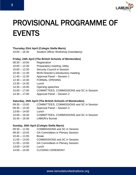

## PROVISIONAL PROGRAMME OF EVENTS

### **Thursday 23rd April (Colegio Stella Maris)**

10:00 – 16:30 Student Officer Workshop (mandatory)

#### **Friday, 24th April (The British Schools of Montevideo)**

- 08:30 10:00 Registration
- 10:00 12:30 Preparatory meeting, lobby
- 10:00 12:30 Security Council in Session
- 10:30 11:30 MUN Director's introductory meeting
- 11:40 12:30 Approval Panel Session 1
- 12:30 13:30 FORMAL OPENING
- 13:30 14:30 Lunch
- 14:30 15:00 Opening speeches
- 15:00 17:00 COMMITTEES, COMMISSIONS and SC in Session
- 14:30 17:00 Approval Panel Session 2

#### **Saturday, 25th April (The British Schools of Montevideo)**

| $09:30 - 13:00$ | <b>COMMITTEES, COMMISSIONS and SC in Session</b> |
|-----------------|--------------------------------------------------|
| $09:30 - 13:30$ | Approval Panel – Session 3                       |
| $13:00 - 14:00$ | Lunch                                            |
| $14:00 - 16:30$ | <b>COMMITTEES, COMMISSIONS and SC in Session</b> |

16:45 – 19:30 LAMUN's Sunset

#### **Sunday, 26th April (Colegio Stella Maris)**

- 09:30 11:00 COMMISSIONS and SC in Session
- 09:30 10:45 GA Committees in Plenary Session
- 10:45 11:05 Break
- 11:05 13:00 COMMISSIONS and SC in Session
- 11:05 13:00 GA Committees in Plenary Session
- 13:00 14:00 Lunch
- 14:00 15:00 CLOSING CEREMONY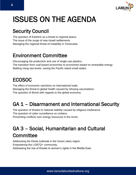

## ISSUES ON THE AGENDA

## Security Council:

The question of Kashmir as a threat to regional peace. The issue of the surge of new Israeli settlements. Managing the regional threat of instability in Venezuela.

## Environment Committee

Discouraging the production and use of single-use plastics. The transition from coal-based economies to economies based on renewable energy. Battling rising sea levels: saving the Pacific island small states.

## ECOSOC

The effect of economic sanctions on international trade. Managing the threat to global health caused by refusing vaccinations. The question of Brexit with regards to the global economy.

## GA 1 – Disarmament and International Security

The question of threats to national stability caused by religious intolerance. The question of cyber surveillance on civilians.

Preventing conflicts over energy resources in the Arctic.

## GA 3 – Social, Humanitarian and Cultural **Committee**

Addressing the Ebola outbreak in the Great Lakes region. Empowering the LGBTQ+ community. Addressing the rise of threats to women's rights in the Middle East.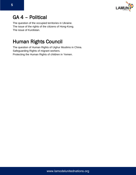

### GA 4 – Political

The question of the occupied territories in Ukraine. The issue of the rights of the citizens of Hong-Kong. The issue of Kurdistan.

## Human Rights Council

The question of Human Rights of Uighur Muslims in China. Safeguarding Rights of migrant workers. Protecting the Human Rights of children in Yemen.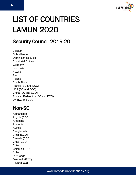

## LIST OF COUNTRIES LAMUN 2020

## Security Council 2019-20

Belgium Cote d'Ivoire Dominican Republic Equatorial Guinea **Germany** Indonesia Kuwait Peru Poland South Africa France (SC and ECO) USA (SC and ECO) China (SC and ECO) Russian Federation (SC and ECO) UK (SC and ECO)

### Non-SC

Afghanistan Angola (ECO) Argentina Australia Austria Bangladesh Brazil (ECO) Canada (ECO) Chad (ECO) Chile Colombia (ECO) **Cuba** DR Congo Denmark (ECO) Egypt (ECO)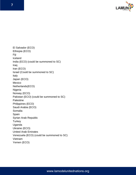

El Salvador (ECO) Ethiopia (ECO) Fiji Iceland India (ECO) (could be summoned to SC) Iraq Iran (ECO) Israel (Could be summoned to SC) Italy Japan (ECO) Mexico Netherlands(ECO) Nigeria Norway (ECO) Pakistan (ECO) (could be summoned to SC) Palestine Philippines (ECO) Saudi Arabia (ECO) Somalia Spain Syrian Arab Republic **Turkey** Uganda Ukraine (ECO) United Arab Emirates Venezuela (ECO) (could be summoned to SC) Vietnam Yemen (ECO)

7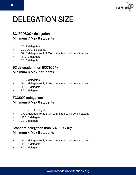

## DELEGATION SIZE

### SC/ECOSOC\* delegation Minimum 7 Max 8 students

- SC: 2 delegates
- ECOSOC: 1 delegate
- GA: 1 delegate (only 1 GA committee could be left vacant)
- HRC: 1 delegate
- EC: 1 delegate

### SC delegation (non ECOSOC\*) Minimum 6 Max 7 students

- SC: 2 delegates
- GA: 1 delegate (only 1 GA committee could be left vacant)
- HRC: 1 delegate
- EC: 1 delegate

### ECOSOC delegation: Minimum 5 Max 6 students

- ECOSOC: 1 delegate
- GA: 1 delegate (only 1 GA committee could be left vacant)
- HRC: 1 delegate
- EC: 1 delegate

### Standard delegation (non SC/ECOSOC): Minimum 4 Max 5 students

- GA: 1 delegate (only 1 GA committee could be left vacant)
- HRC: 1 delegate
- EC: 1 delegate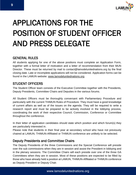

## APPLICATIONS FOR THE POSITION OF STUDENT OFFICER AND PRESS DELEGATE

### GENERAL RULES

All students applying for one of the above positions must complete an Application Form, together with a formal letter of motivation and a letter of recommendation from their MUN Director. These must be returned by mail to contact@lamodelunitednations.org by the final closing date. Late or incomplete applications will not be considered. Application forms can be found in the LAMUN website: [www.lamodelunitednations.org](http://www.lamodelunitednations.org/)

### STUDENT OFFICERS

The Student Officer team consists of the Executive Committee together with the Presidents, Deputy Presidents, Committee Chairs and Deputies in the various forums.

All Student Officers must be thoroughly conversant with Parliamentary Procedure and particularly with the current THIMUN Rules of Procedure. They must have a good knowledge of current affairs as well as of the issues on the agenda. They will be required to write a research report and must be prepared to be actively involved in the lobbying process, coordinating the work of their respective Council, Commission, Conference or Committee throughout the conference.

In their letter of application candidates should state which position and which forum(s) they are particularly interested in.

Please note that students in their final year at secondary school who have not previously chaired at LAMUN, THIMUN-Affiliated or THIMUN conference are unlikely to be selected.

### Deputy Presidents and Committee Chairs

The Deputy Presidents of the three Commissions and the Special Conference will preside over the sub commissions when they are in session and assist the President in lobbying and in the plenary sessions. The Committee Chairs will each preside over one of the three GA Committees when they are in session. Most of these positions are expected to be filled by those who have already held a position at LAMUN, THIMUN-Affiliated or THIMUN conference as Deputy President or Deputy Chair.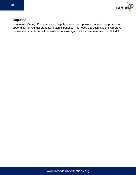

### Deputies

In general, Deputy Presidents and Deputy Chairs are appointed in order to provide an opportunity for younger students to gain experience. It is hoped that such students will prove themselves capable and will be available to serve again at the subsequent session of LAMUN.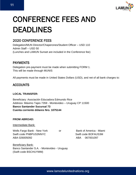

## CONFERENCE FEES AND DEADLINES

### 2020 CONFERENCE FEES

Delegation/MUN Director/Chaperones/Student Officer – USD 110 Admin Staff – USD 50 (Lunches and LAMUN Sunset are included in the Conference fee)

### PAYMENTS

Delegation pre-payment must be made when submitting FORM 1. This will be made through MUNIS

All payments must be made in United States Dollars (USD), and net of all bank charges to:

### ACCOUNTS

### **LOCAL TRANSFER:**

Beneficiary: Asociación Educadora Edmundo Rice Address: Máximo Tajes 7359 - Montevideo – Uruguay CP 11500 **Banco Santander Sucursal 73 Cuenta corriente dólares Nro. 1075144**

### **FROM ABROAD:**

Intermediate Bank:

Wells Fargo Bank - New York or Bank of America - Miami Swift code PNBPUS3NNYC Swift code BOFAUS3M ABA 026005092 ABA 067001097

Beneficiary Bank: Banco Santander S.A. - Montevideo - Uruguay (Swift code BSCHUYMM)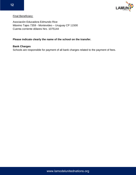

Final Beneficiary:

Asociación Educadora Edmundo Rice Máximo Tajes 7359 - Montevideo – Uruguay CP 11500 Cuenta corriente dólares Nro. 1075144

### **Please indicate clearly the name of the school on the transfer.**

### **Bank Charges**

Schools are responsible for payment of all bank charges related to the payment of fees.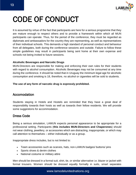

## CODE OF CONDUCT

It is assumed by virtue of the fact that participants are here for a serious programme that they are mature enough to respect others and to provide a framework within which all MUN participants can operate. Thus, for the period of the conference, they must be regarded as diplomats and ambassadors for the country they are representing, as well as representatives of their individual schools. This demands a high standard of personal conduct and behaviour from all delegates, both during the conference sessions and outside. Failure to follow these simple guidelines may result in participants being sent home at their own expense and schools not being invited to future sessions.

### **Alcoholic Beverages and Narcotic Drugs**

MUN-Directors are responsible for making and enforcing their own rules for their students with regard to alcohol consumption. Alcoholic Beverages may not be consumed at any time during the conference. It should be noted that in Uruguay the minimum legal age for alcoholic consumption and smoking is 18, therefore, no alcohol or cigarettes will be sold to students.

### **The use of any form of narcotic drug is expressly prohibited.**

### Accomodation

Students staying in Hotels and Hostels are reminded that they have a great deal of responsibility towards their hosts as well as towards their fellow residents. We will provide some suggestions for accommodation.

### Dress Code

Being a serious simulation, LAMUN expects personal appearance to be appropriate for a professional setting. Participants (**this includes MUN-Directors and Chaperones**) should not wear clothing, jewellery, or accessories which are distracting, inappropriate, or which may call attention to themselves – either individually or as a group.

Inappropriate dress includes, but is not limited to:

- Team accessories such as scarves, hats, non-LAMUN badges/ buttons/ pins
- Sports shoes & denim clothes
- National costume or military attire

Men should be dressed in a formal suit, shirt, tie, or similar alternative i.e. blazer or jacket with formal trousers. Women should be dressed equally formally in suits, smart separates

www.lamodelunitednations.org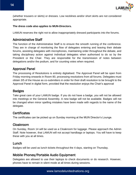

(whether trousers or skirts) or dresses. Low necklines and/or short skirts are not considered appropriate.

### **The dress code also applies to MUN-Directors.**

LAMUN reserves the right not to allow inappropriately dressed participants into the forums.

### Administrative Staff

The function of the Administrative Staff is to ensure the smooth running of the conference. They are in charge of monitoring the flow of delegates entering and leaving their debate forums, assisting delegates with microphones, maintaining order throughout the debate, and taking disciplinary action against individual delegates when authorised to do so by the President or the Chair. They are responsible for the transmission of notes between delegations and/or the podium, and for counting votes when required.

### Approval Panel

The processing of Resolutions is entirely digitalised. The Approval Panel will be open from Friday morning onwards in Room 80, processing resolutions from all forums. Delegates must obtain 3/5 of the House as co-submitters in order for their draft resolution to be brought to the Approval Panel in digital form, provided that the resolution enjoys the Chair's approval

### Badges

Take great care of your LAMUN badge. If you do not have a badge, you will not be allowed into meetings or the General Assembly. A new badge will not be available. Badges will not be changed when minor spelling mistakes have been made with regards to the name of the delegate.

### **Certificates**

The certificates can be picked up on Sunday morning at the MUN Director's Lounge.

### Cloakroom

On Sunday, Room 14 will be used as a Cloakroom for luggage. Please approach the Admin Staff. Note however, that LAMUN will not accept handbags or laptops. You will have to keep these with you at all times.

### Lunch

Badges will be used as lunch tickets throughout the 4 days, starting on Thursday.

### Mobile Phones/Portable Audio Equipment

Delegates are allowed to use their laptops to check documents or do research. However, phones have to remain in silent mode at all times during sessions.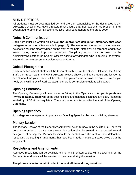

### MUN-DIRECTORS

All students must be accompanied by, and are the responsibility of the designated MUN-Director(s), at all times. MUN-Directors must ensure that their students are present in their designated forums. MUN-Directors are also required to adhere to the dress code.

### Notes & Communication

Each note must be written on **official and appropriate delegation stationary that each delegate must bring** (See sample in page 18). The name and the section of the receiving delegation must be clearly written on the front of the note. Notes will be screened and thrown away if they contain improper messages. Disciplinary action may be taken by the Administrative Staff or the Student Officers against any delegate who is abusing the system. There will be no messenger service between forums.

### Official Photographs

Each year two official photos will be taken of each forum, the Student Officers, the Admin Staff, the Press Team, and MUN-Directors. Please check the time schedule and location to see at what time your picture will be taken. The pictures will be available online. Unless, you notify us in writing by 5<sup>th</sup> April we assume there is permission to upload all pictures.

### Opening Ceremony

The Opening Ceremony will take place on Friday in the Gymnasium. **All participants are invited to attend.** There will be no seating signs and delegates can take any seat. Please be seated by 12:30 at the very latest. There will be no admission after the start of the Opening Ceremony.

### Opening Speeches

**All delegates** are expected to prepare an Opening Speech to be read on Friday afternoon.

### Plenary Session

The Plenary Session of the General Assembly will be on Sunday in the Auditorium. There will be signs in order to indicate where every delegation shall be seated. It is expected from all delegates attending the Plenary Session to be seated with the rest of their delegation, respecting the seating arrangements that have been made. Please be seated by 09:30 at the very latest.

### Resolutions and Amendments

Approved resolutions will be available online and 5 printed copies will be available on the Forums. Amendments will be emailed to the chairs during the session.

### **The phones have to remain in silent mode at all times during sessions.**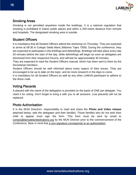

### Smoking Areas

Smoking is not permitted anywhere inside the buildings. It is a national regulation that smoking is prohibited in indoor public places and within a 200-metre distance from schools and hospitals. The designated smoking area is outside.

### Student Officers

It is mandatory that all Student Officers attend the workshop on Thursday. They are expected to arrive at 09:30 in Colegio Stella Maris (Máximo Tajes 7359). During the conference, they are expected to participate in the briefings and debriefings. Briefings will take place every day 20 minutes before the start of the day, while debriefings will begin as soon as delegates are dismissed from their respective forums, and will last for approximately 30 minutes.

They are expected to read the Student Officers manual, which has been sent to them by the Secretariat members.

Student Officers should be well informed about every aspect of their issues. They are encouraged to be up to date on the topic, and do more research in the days to come.

It is mandatory for all Student Officers as well as any other LAMUN participant to adhere to the dress code.

### Voting Placards

A placard with the name of the delegation is provided on the basis of ONE per delegate. You need it for voting. Don't forget to bring it with you to all sessions. Lost placards will not be replaced.

### Photo Authorisation

It is the MUN Directors´ responsibility to read and share the **Photo and Video release** attached below, with the delegates and their families. Those families who do not wish their child to appear must sign the form. This form must be sent by email to [contact@lamodelunitednations.org](mailto:contact@lamodelunitednations.org) by the MUN Director prior to the commencement of the Conference. Bear in mind that a non-signature corresponds to an authorisation.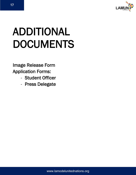

# ADDITIONAL DOCUMENTS

### Image Release Form Application Forms:

- Student Officer
- Press Delegate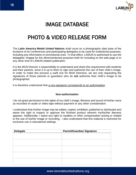

## IMAGE DATABASE

## PHOTO & VIDEO RELEASE FORM

The **Latin America Model United Nations** shall count on a photographic data base of the locations of its Conferences and participating delegates to be used for institutional purposes, including any informative or promotional ones. To that effect, LAMUN is authorised to use the delegates' images for the aforementioned purposes both for including on the web page or in any other kind of LAMUN-related publication.

It is the MUN Director´s responsibility to understand and share this requirement with students and their parents, since it is up to them to sign and authorise the use of their child´s image. In order to make this process a swift one for MUN Directors, we are only requesting the signatures of those parents or guardians who do **not** authorize their child´s image to be photographed.

It is therefore understood that a non-signature corresponds to an authorisation.

#### **Non-authorization**

I do not grant permission to the rights of my child´s image, likeness and sound of his/her voice as recorded on audio or video tape without payment or any other consideration.

I understand that his/her image may be edited, copied, exhibited, published or distributed and waive the right to inspect or approve the finished product wherein my/his/her likeness appears. Additionally, I waive any right to royalties or other compensation arising or related to the use of his/her image or recording. I also understand that this material is restricted for exclusive use in educational settings.

| <b>Delegate</b> | <b>Parent/Guardian Signature</b> |  |  |
|-----------------|----------------------------------|--|--|
|                 |                                  |  |  |
|                 |                                  |  |  |
|                 |                                  |  |  |
|                 |                                  |  |  |
|                 |                                  |  |  |
|                 |                                  |  |  |
|                 |                                  |  |  |
|                 |                                  |  |  |
|                 |                                  |  |  |
|                 |                                  |  |  |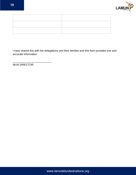

| ,我们也不会不会不会。""我们的,我们也不会不会不会。""我们的,我们也不会不会不会不会。""我们的,我们也不会不会不会不会。""我们的,我们也不会不会不会不会 |  |
|----------------------------------------------------------------------------------|--|
|                                                                                  |  |

I have shared this with the delegations and their families and this form provides true and accurate information.

MUN DIRECTOR

\_\_\_\_\_\_\_\_\_\_\_\_\_\_\_\_\_\_\_\_\_\_\_\_\_\_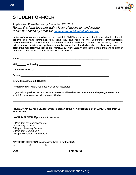

### **STUDENT OFFICER**

### **Application Form Return by December 2nd, 2019**

*Return this form together with a letter of motivation and teacher recommendation by email to: [contact@](about:blank)lamodelunitednations.com*

**Letters of motivation** should outline the candidates' MUN experience and should state what they hope to achieve and what contribution they think they can make to the Conference. **MUN-Directors' recommendations** should include some reference to the candidates' academic performance, school and extra-curricular activities. **All applicants must be aware that, if and when chosen, they are expected to attend the mandatory workshop on Thursday 23th April 2020**. Where there is more than one application from one school, MUN-Directors must rank order **(max. 3!)**.

| Date of Birth (D/M/Y) ________                                                              |
|---------------------------------------------------------------------------------------------|
|                                                                                             |
|                                                                                             |
| Personal email (where you frequently check messages ____________________________            |
| If you hold a neglign of LAMUN are THIMUN efficient MUN conference in the neet places cicin |

**If you held a position at LAMUN or a THIMUN affiliated MUN conference in the past, please state which (if more paper needed please attach):** 

**\_\_\_\_\_\_\_\_\_\_\_\_\_\_\_\_\_\_\_\_\_\_\_\_\_\_\_\_\_\_\_\_\_\_\_\_\_\_\_\_\_\_\_\_\_\_\_\_\_\_\_\_\_\_\_\_\_\_\_\_\_\_\_\_\_\_\_\_\_\_\_\_\_\_\_\_\_\_\_\_\_\_\_\_\_ \_\_\_\_\_\_\_\_\_\_\_\_\_\_\_\_\_\_\_\_\_\_\_\_\_\_\_\_\_\_\_\_\_\_\_\_\_\_\_\_\_\_\_\_\_\_\_\_\_\_\_\_\_\_\_\_\_\_\_\_\_\_\_\_\_\_\_\_\_\_\_\_\_\_\_\_\_\_\_\_\_\_\_\_\_**

**I HEREBY APPLY for a Student Officer position at the 7th Annual Session of LAMUN, held from 23 – 26 April 2020.**

#### **I WOULD PREFER, if possible, to serve as:**

O President of General Assembly O Secretary General O Deputy Secretary General O President Committee **\*** O Deputy President Committee **\***

**\* PREFERRED FORUM (please give three in rank order):**

**\_\_\_\_\_\_\_\_\_\_\_\_\_\_\_\_\_\_\_\_\_\_\_\_\_\_\_\_\_\_\_\_\_\_\_\_\_\_\_\_\_\_\_\_\_\_\_\_\_\_\_\_\_\_\_**

**1. 2. 3.**

Date: Signature: Signature: Signature: Signature: Signature: Signature: Signature: Signature: Signature: Signature: Signature: Signature: Signature: Signature: Signature: Signature: Signature: Signature: Signature: Signatu